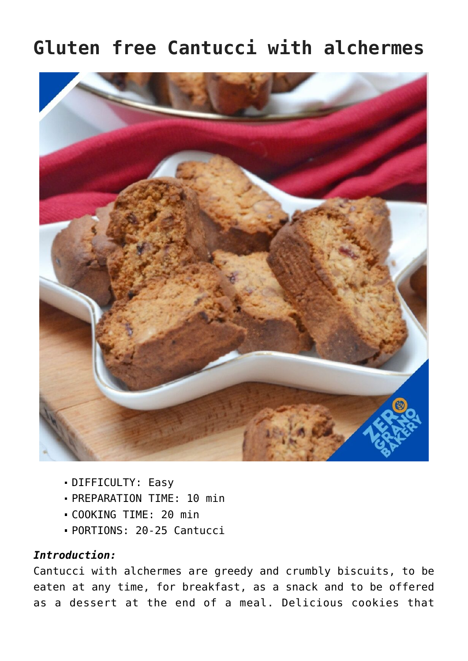## **Gluten free Cantucci with alchermes**



- DIFFICULTY: Easy
- PREPARATION TIME: 10 min
- COOKING TIME: 20 min
- PORTIONS: 20-25 Cantucci

## *Introduction:*

Cantucci with alchermes are greedy and crumbly biscuits, to be eaten at any time, for breakfast, as a snack and to be offered as a dessert at the end of a meal. Delicious cookies that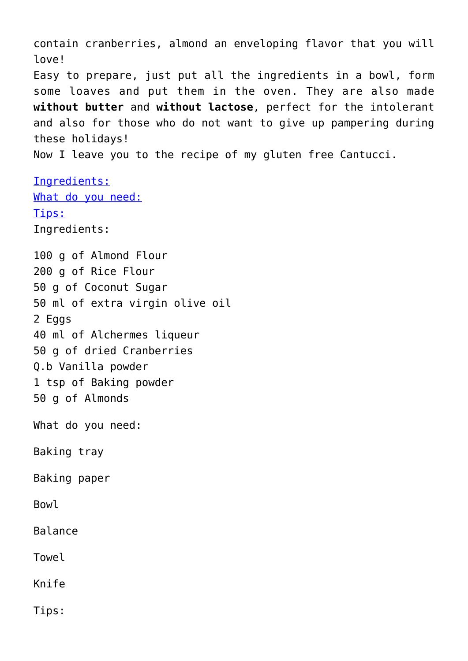contain cranberries, almond an enveloping flavor that you will love! Easy to prepare, just put all the ingredients in a bowl, form some loaves and put them in the oven. They are also made **without butter** and **without lactose**, perfect for the intolerant and also for those who do not want to give up pampering during these holidays! Now I leave you to the recipe of my gluten free Cantucci.

Ingredients: What do you need: Tips: Ingredients:

100 g of Almond Flour 200 g of Rice Flour 50 g of Coconut Sugar 50 ml of extra virgin olive oil 2 Eggs 40 ml of Alchermes liqueur 50 g of dried Cranberries Q.b Vanilla powder 1 tsp of Baking powder 50 g of Almonds What do you need: Baking tray Baking paper Bowl

Balance

Towel

Knife

Tips: